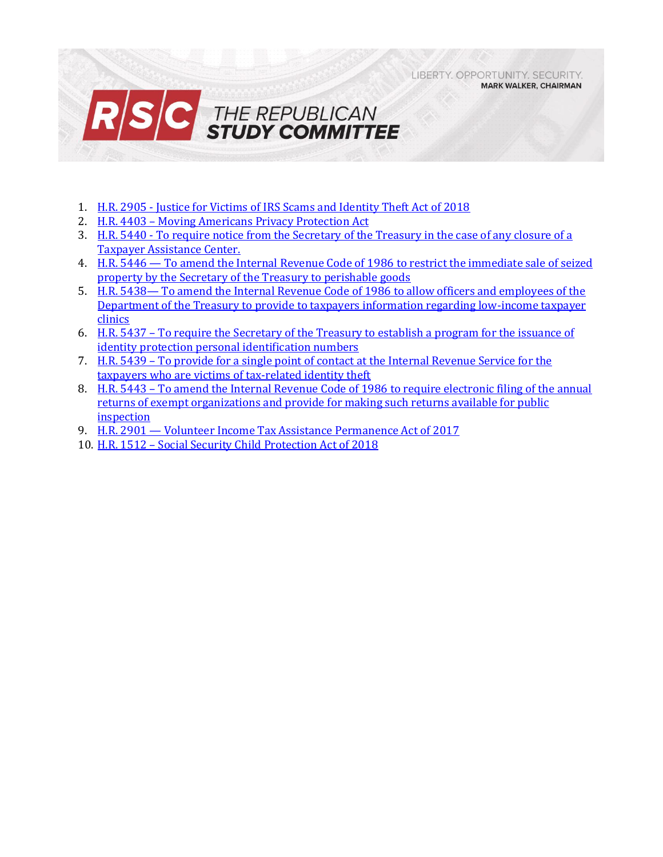LIBERTY, OPPORTUNITY, SECURITY, **MARK WALKER, CHAIRMAN** 



- 1. H.R. 2905 [Justice for Victims of IRS Scams and Identity Theft Act of 2018](#page-1-0)
- 2. H.R. 4403 [Moving Americans Privacy Protection Act](#page-2-0)
- 3. H.R. 5440 [To require notice from the Secretary of the Treasury in the case of any closure of a](#page-3-0)  [Taxpayer Assistance Center.](#page-3-0)
- 4. H.R. 5446 [To amend the Internal Revenue Code of 1986 to restrict the immediate sale of seized](#page-4-0)  [property by the Secretary of the Treasury to perishable goods](#page-4-0)
- 5. H.R. 5438— [To amend the Internal Revenue Code of 1986 to allow officers and employees of the](#page-6-0)  [Department of the Treasury to provide to taxpayers information regarding low-income taxpayer](#page-6-0)  [clinics](#page-6-0)
- 6. H.R. 5437 [To require the Secretary of the Treasury to establish a program for the issuance of](#page-7-0)  [identity protection personal identification numbers](#page-7-0)
- 7. H.R. 5439 [To provide for a single point of contact at the Internal Revenue Service for the](#page-8-0)  [taxpayers who are victims of tax-related identity theft](#page-8-0)
- 8. H.R. 5443 To amend the Internal Revenue Code of 1986 to require electronic filing of the annual [returns of exempt organizations and provide for making such returns available for public](#page-10-0)  [inspection](#page-10-0)
- 9. H.R. 2901 [Volunteer Income Tax Assistance Permanence Act of 2017](#page-12-0)
- 10. H.R. 1512 [Social Security Child Protection Act of 2018](#page-14-0)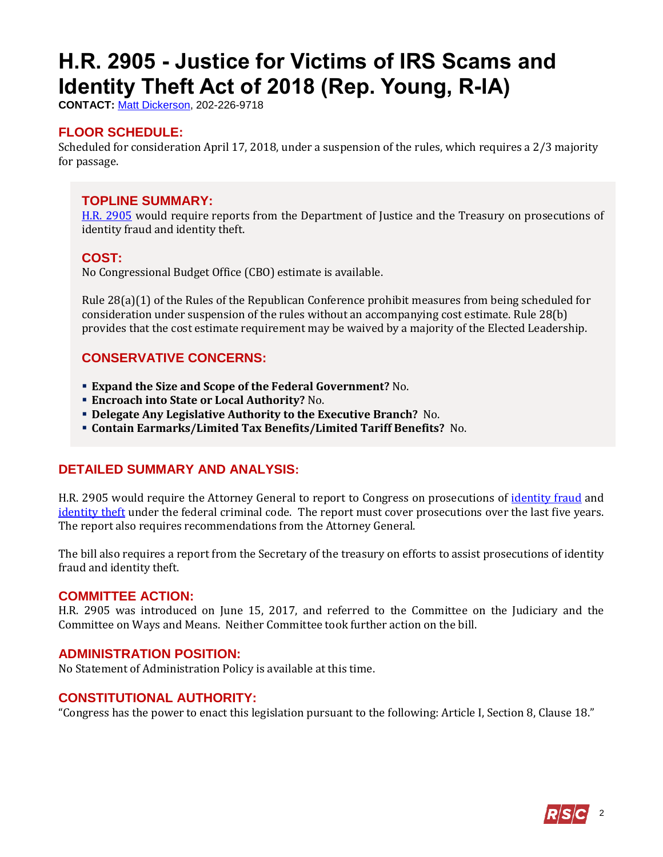# <span id="page-1-0"></span>**H.R. 2905 - Justice for Victims of IRS Scams and Identity Theft Act of 2018 (Rep. Young, R-IA)**

**CONTACT:** [Matt Dickerson,](mailto:Matthew.Dickerson@mail.house.gov) 202-226-9718

# **FLOOR SCHEDULE:**

Scheduled for consideration April 17, 2018, under a suspension of the rules, which requires a 2/3 majority for passage.

### **TOPLINE SUMMARY:**

[H.R. 2905](http://docs.house.gov/billsthisweek/20180416/HR2905.pdf) would require reports from the Department of Justice and the Treasury on prosecutions of identity fraud and identity theft.

#### **COST:**

No Congressional Budget Office (CBO) estimate is available.

Rule 28(a)(1) of the Rules of the Republican Conference prohibit measures from being scheduled for consideration under suspension of the rules without an accompanying cost estimate. Rule 28(b) provides that the cost estimate requirement may be waived by a majority of the Elected Leadership.

# **CONSERVATIVE CONCERNS:**

- **Expand the Size and Scope of the Federal Government?** No.
- **Encroach into State or Local Authority?** No.
- **Delegate Any Legislative Authority to the Executive Branch?** No.
- **Contain Earmarks/Limited Tax Benefits/Limited Tariff Benefits?** No.

# **DETAILED SUMMARY AND ANALYSIS:**

H.R. 2905 would require the Attorney General to report to Congress on prosecutions of [identity fraud](http://uscode.house.gov/view.xhtml?hl=false&edition=prelim&req=granuleid%3AUSC-prelim-title18-section1028&f=treesort&num=0&saved=%7CKHRpdGxlOjE4IHNlY3Rpb246MTAyOCBlZGl0aW9uOnByZWxpbSkgT1IgKGdyYW51bGVpZDpVU0MtcHJlbGltLXRpdGxlMTgtc2VjdGlvbjEwMjgp%7CdHJlZXNvcnQ%3D%7C%7C0%7Cfalse%7Cprelim) and [identity theft](http://uscode.house.gov/view.xhtml?hl=false&edition=prelim&req=granuleid%3AUSC-prelim-title18-section1028A&f=treesort&num=0&saved=%7CKHRpdGxlOjE4IHNlY3Rpb246MTAyOCBlZGl0aW9uOnByZWxpbSkgT1IgKGdyYW51bGVpZDpVU0MtcHJlbGltLXRpdGxlMTgtc2VjdGlvbjEwMjgp%7CdHJlZXNvcnQ%3D%7C%7C0%7Cfalse%7Cprelim) under the federal criminal code. The report must cover prosecutions over the last five years. The report also requires recommendations from the Attorney General.

The bill also requires a report from the Secretary of the treasury on efforts to assist prosecutions of identity fraud and identity theft.

#### **COMMITTEE ACTION:**

H.R. 2905 was introduced on June 15, 2017, and referred to the Committee on the Judiciary and the Committee on Ways and Means. Neither Committee took further action on the bill.

#### **ADMINISTRATION POSITION:**

No Statement of Administration Policy is available at this time.

### **CONSTITUTIONAL AUTHORITY:**

"Congress has the power to enact this legislation pursuant to the following: Article I, Section 8, Clause 18."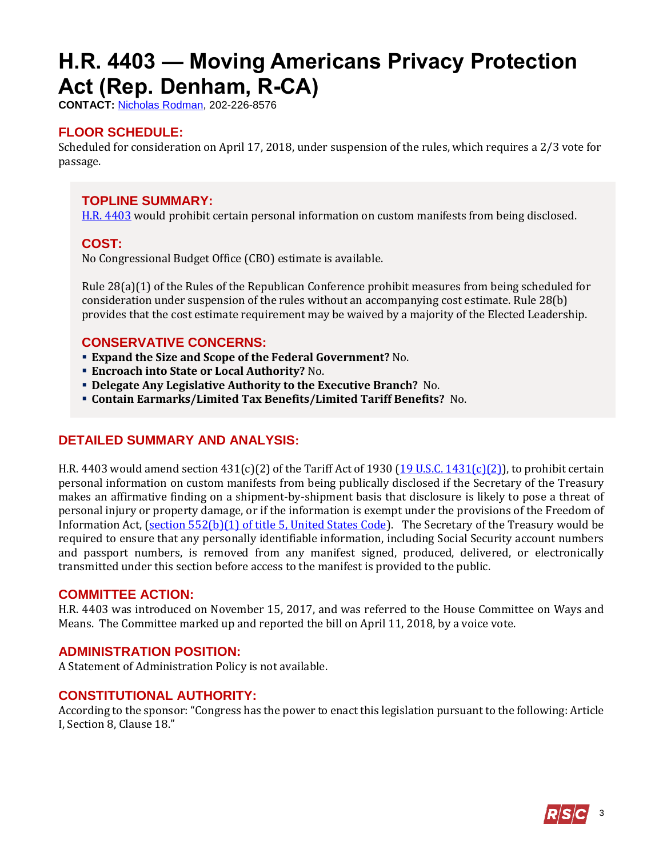# <span id="page-2-0"></span>**H.R. 4403 — Moving Americans Privacy Protection Act (Rep. Denham, R-CA)**

**CONTACT:** [Nicholas Rodman,](mailto:nicholas.rodman@mail.house.gov) 202-226-8576

# **FLOOR SCHEDULE:**

Scheduled for consideration on April 17, 2018, under suspension of the rules, which requires a 2/3 vote for passage.

### **TOPLINE SUMMARY:**

[H.R. 4403](http://docs.house.gov/billsthisweek/20180416/HR4403.pdf) would prohibit certain personal information on custom manifests from being disclosed.

#### **COST:**

No Congressional Budget Office (CBO) estimate is available.

Rule 28(a)(1) of the Rules of the Republican Conference prohibit measures from being scheduled for consideration under suspension of the rules without an accompanying cost estimate. Rule 28(b) provides that the cost estimate requirement may be waived by a majority of the Elected Leadership.

#### **CONSERVATIVE CONCERNS:**

- **Expand the Size and Scope of the Federal Government?** No.
- **Encroach into State or Local Authority?** No.
- **Delegate Any Legislative Authority to the Executive Branch?** No.
- **Contain Earmarks/Limited Tax Benefits/Limited Tariff Benefits?** No.

# **DETAILED SUMMARY AND ANALYSIS:**

H.R. 4403 would amend section  $431(c)(2)$  of the Tariff Act of 1930  $(19 \text{ U.S.C. } 1431(c)(2))$ , to prohibit certain personal information on custom manifests from being publically disclosed if the Secretary of the Treasury makes an affirmative finding on a shipment-by-shipment basis that disclosure is likely to pose a threat of personal injury or property damage, or if the information is exempt under the provisions of the Freedom of Information Act, [\(section 552\(b\)\(1\) of title 5, United States Code\)](https://www.law.cornell.edu/uscode/text/5/552). The Secretary of the Treasury would be required to ensure that any personally identifiable information, including Social Security account numbers and passport numbers, is removed from any manifest signed, produced, delivered, or electronically transmitted under this section before access to the manifest is provided to the public.

#### **COMMITTEE ACTION:**

H.R. 4403 was introduced on November 15, 2017, and was referred to the House Committee on Ways and Means. The Committee marked up and reported the bill on April 11, 2018, by a voice vote.

#### **ADMINISTRATION POSITION:**

A Statement of Administration Policy is not available.

#### **CONSTITUTIONAL AUTHORITY:**

According to the sponsor: "Congress has the power to enact this legislation pursuant to the following: Article I, Section 8, Clause 18."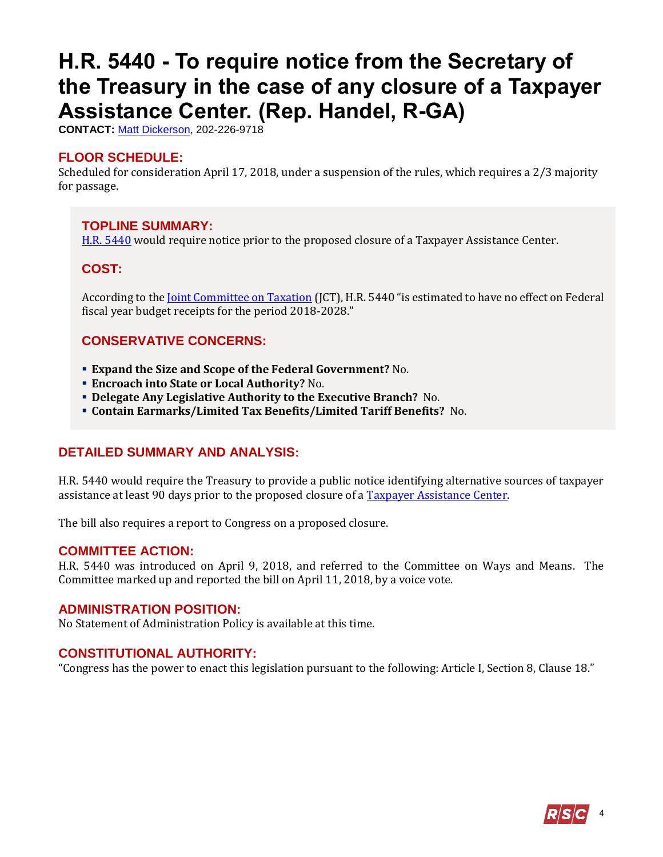# <span id="page-3-0"></span>**H.R. 5440 - To require notice from the Secretary of the Treasury in the case of any closure of a Taxpayer Assistance Center. (Rep. Handel, R-GA)**

**CONTACT:** [Matt Dickerson,](mailto:Matthew.Dickerson@mail.house.gov) 202-226-9718

#### **FLOOR SCHEDULE:**

Scheduled for consideration April 17, 2018, under a suspension of the rules, which requires a 2/3 majority for passage.

#### **TOPLINE SUMMARY:**

[H.R. 5440](http://docs.house.gov/billsthisweek/20180416/HR5440.pdf) would require notice prior to the proposed closure of a Taxpayer Assistance Center.

# **COST:**

According to the *Joint Committee on Taxation* (JCT), H.R. 5440 "is estimated to have no effect on Federal fiscal year budget receipts for the period 2018-2028."

#### **CONSERVATIVE CONCERNS:**

- **Expand the Size and Scope of the Federal Government?** No.
- **Encroach into State or Local Authority?** No.
- **Delegate Any Legislative Authority to the Executive Branch?** No.
- **Contain Earmarks/Limited Tax Benefits/Limited Tariff Benefits?** No.

#### **DETAILED SUMMARY AND ANALYSIS:**

H.R. 5440 would require the Treasury to provide a public notice identifying alternative sources of taxpayer assistance at least 90 days prior to the proposed closure of [a Taxpayer Assistance Center.](https://www.irs.gov/help/contact-your-local-irs-office)

The bill also requires a report to Congress on a proposed closure.

#### **COMMITTEE ACTION:**

H.R. 5440 was introduced on April 9, 2018, and referred to the Committee on Ways and Means. The Committee marked up and reported the bill on April 11, 2018, by a voice vote.

#### **ADMINISTRATION POSITION:**

No Statement of Administration Policy is available at this time.

#### **CONSTITUTIONAL AUTHORITY:**

"Congress has the power to enact this legislation pursuant to the following: Article I, Section 8, Clause 18."

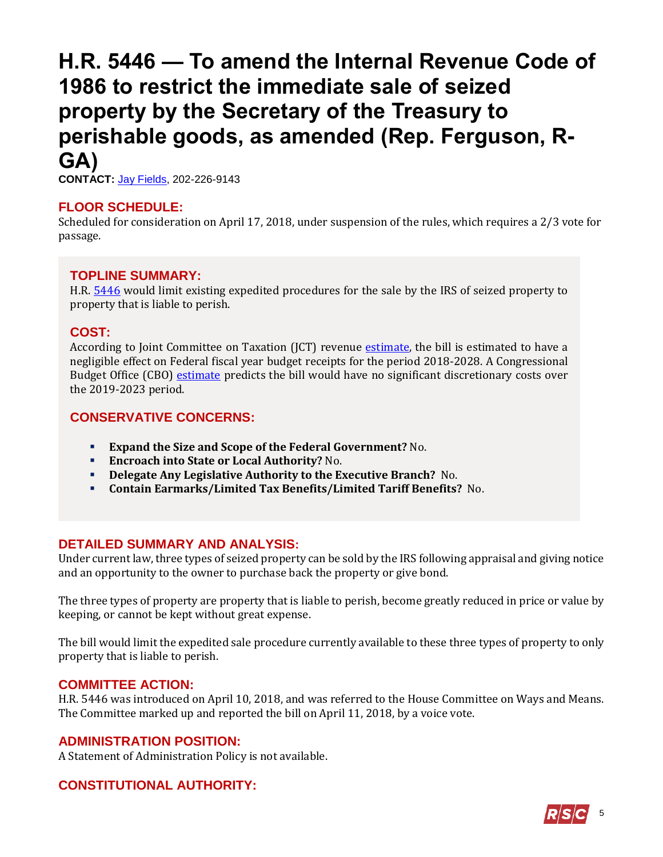# <span id="page-4-0"></span>**H.R. 5446 — To amend the Internal Revenue Code of 1986 to restrict the immediate sale of seized property by the Secretary of the Treasury to perishable goods, as amended (Rep. Ferguson, R-GA)**

**CONTACT:** Jay [Fields,](mailto:jay.fields@mail.house.gov) 202-226-9143

# **FLOOR SCHEDULE:**

Scheduled for consideration on April 17, 2018, under suspension of the rules, which requires a 2/3 vote for passage.

# **TOPLINE SUMMARY:**

H.R. [5446](http://docs.house.gov/billsthisweek/20180416/HR5446.pdf) would limit existing expedited procedures for the sale by the IRS of seized property to property that is liable to perish.

# **COST:**

According to Joint Committee on Taxation (JCT) revenue [estimate,](https://waysandmeans.house.gov/wp-content/uploads/2018/04/20180411-JCT-Description-of-H.R.-5446.pdf) the bill is estimated to have a negligible effect on Federal fiscal year budget receipts for the period 2018-2028. A Congressional Budget Office (CBO) [estimate](https://www.cbo.gov/system/files/115th-congress-2017-2018/costestimate/hr5437hr5443hr5446_0.pdf) predicts the bill would have no significant discretionary costs over the 2019-2023 period.

# **CONSERVATIVE CONCERNS:**

- **Expand the Size and Scope of the Federal Government?** No.
- **Encroach into State or Local Authority?** No.
- **Delegate Any Legislative Authority to the Executive Branch?** No.
- **Contain Earmarks/Limited Tax Benefits/Limited Tariff Benefits?** No.

# **DETAILED SUMMARY AND ANALYSIS:**

Under current law, three types of seized property can be sold by the IRS following appraisal and giving notice and an opportunity to the owner to purchase back the property or give bond.

The three types of property are property that is liable to perish, become greatly reduced in price or value by keeping, or cannot be kept without great expense.

The bill would limit the expedited sale procedure currently available to these three types of property to only property that is liable to perish.

# **COMMITTEE ACTION:**

H.R. 5446 was introduced on April 10, 2018, and was referred to the House Committee on Ways and Means. The Committee marked up and reported the bill on April 11, 2018, by a voice vote.

# **ADMINISTRATION POSITION:**

A Statement of Administration Policy is not available.

# **CONSTITUTIONAL AUTHORITY:**

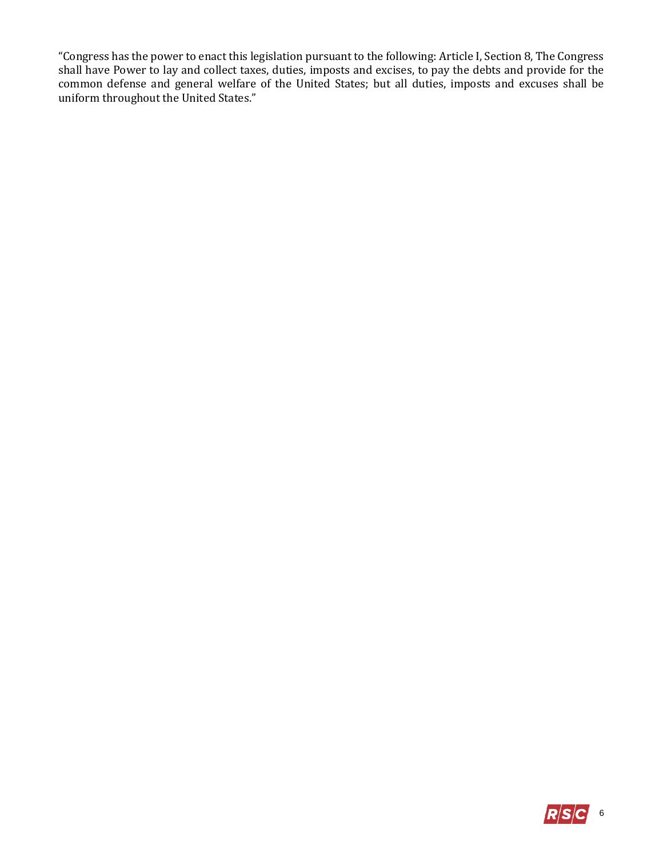"Congress has the power to enact this legislation pursuant to the following: Article I, Section 8, The Congress shall have Power to lay and collect taxes, duties, imposts and excises, to pay the debts and provide for the common defense and general welfare of the United States; but all duties, imposts and excuses shall be uniform throughout the United States."

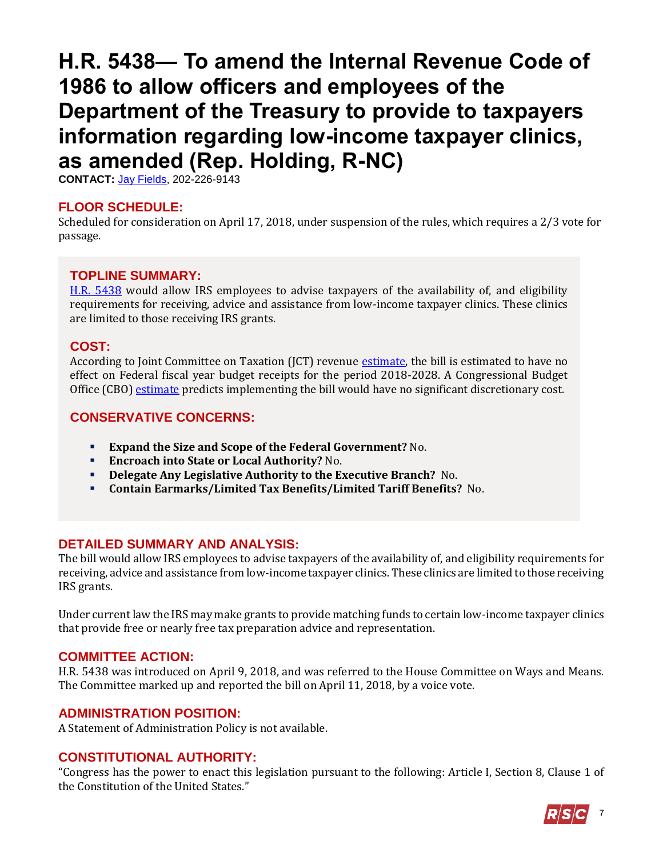# <span id="page-6-0"></span>**H.R. 5438— To amend the Internal Revenue Code of 1986 to allow officers and employees of the Department of the Treasury to provide to taxpayers information regarding low-income taxpayer clinics, as amended (Rep. Holding, R-NC)**

**CONTACT:** Jay [Fields,](mailto:jay.fields@mail.house.gov) 202-226-9143

#### **FLOOR SCHEDULE:**

Scheduled for consideration on April 17, 2018, under suspension of the rules, which requires a 2/3 vote for passage.

# **TOPLINE SUMMARY:**

[H.R. 5438](http://docs.house.gov/billsthisweek/20180416/HR5438.pdf) would allow IRS employees to advise taxpayers of the availability of, and eligibility requirements for receiving, advice and assistance from low-income taxpayer clinics. These clinics are limited to those receiving IRS grants.

#### **COST:**

According to Joint Committee on Taxation (JCT) revenue [estimate,](https://www.jct.gov/publications.html?func=startdown&id=5078) the bill is estimated to have no effect on Federal fiscal year budget receipts for the period 2018-2028. A Congressional Budget Office (CBO[\) estimate](https://www.cbo.gov/system/files/115th-congress-2017-2018/costestimate/hr4403hr5438hr5439hr5440_3.pdf) predicts implementing the bill would have no significant discretionary cost.

#### **CONSERVATIVE CONCERNS:**

- **Expand the Size and Scope of the Federal Government?** No.
- **Encroach into State or Local Authority?** No.
- **Delegate Any Legislative Authority to the Executive Branch?** No.
- **Contain Earmarks/Limited Tax Benefits/Limited Tariff Benefits?** No.

#### **DETAILED SUMMARY AND ANALYSIS:**

The bill would allow IRS employees to advise taxpayers of the availability of, and eligibility requirements for receiving, advice and assistance from low-income taxpayer clinics. These clinics are limited to those receiving IRS grants.

Under current law the IRS may make grants to provide matching funds to certain low-income taxpayer clinics that provide free or nearly free tax preparation advice and representation.

#### **COMMITTEE ACTION:**

H.R. 5438 was introduced on April 9, 2018, and was referred to the House Committee on Ways and Means. The Committee marked up and reported the bill on April 11, 2018, by a voice vote.

#### **ADMINISTRATION POSITION:**

A Statement of Administration Policy is not available.

#### **CONSTITUTIONAL AUTHORITY:**

"Congress has the power to enact this legislation pursuant to the following: Article I, Section 8, Clause 1 of the Constitution of the United States."

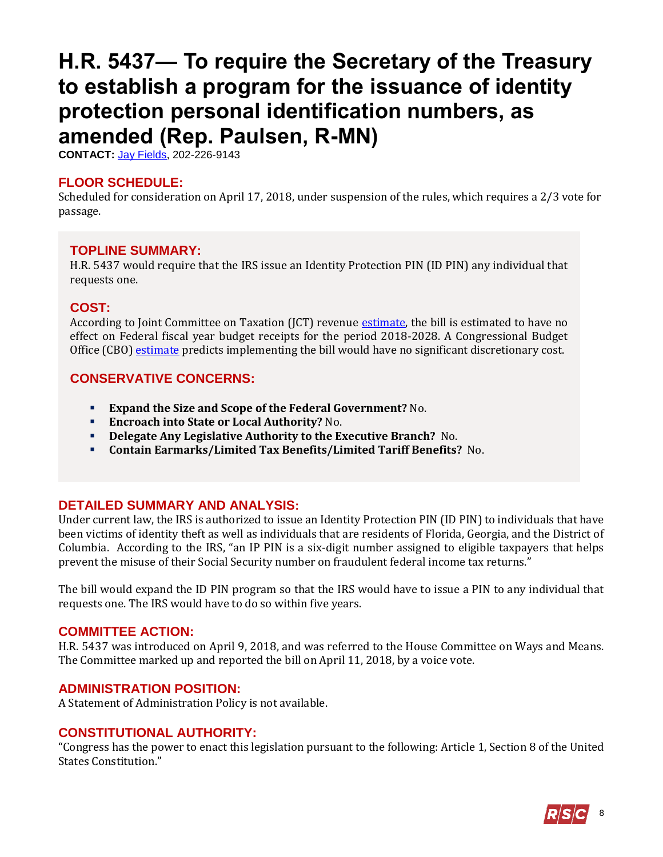# <span id="page-7-0"></span>**H.R. 5437— To require the Secretary of the Treasury to establish a program for the issuance of identity protection personal identification numbers, as amended (Rep. Paulsen, R-MN)**

**CONTACT:** Jay [Fields,](mailto:jay.fields@mail.house.gov) 202-226-9143

### **FLOOR SCHEDULE:**

Scheduled for consideration on April 17, 2018, under suspension of the rules, which requires a 2/3 vote for passage.

#### **TOPLINE SUMMARY:**

H.R. 5437 would require that the IRS issue an Identity Protection PIN (ID PIN) any individual that requests one.

#### **COST:**

According to Joint Committee on Taxation (JCT) revenue [estimate,](https://www.jct.gov/publications.html?func=startdown&id=5082) the bill is estimated to have no effect on Federal fiscal year budget receipts for the period 2018-2028. A Congressional Budget Office (CBO[\) estimate](file:///C:/Users/jfields2/Downloads/CBO_115_HR5446_2018-04-13_hr5446.pdf) predicts implementing the bill would have no significant discretionary cost.

#### **CONSERVATIVE CONCERNS:**

- **Expand the Size and Scope of the Federal Government?** No.
- **Encroach into State or Local Authority?** No.
- **Delegate Any Legislative Authority to the Executive Branch?** No.
- **Contain Earmarks/Limited Tax Benefits/Limited Tariff Benefits?** No.

# **DETAILED SUMMARY AND ANALYSIS:**

Under current law, the IRS is authorized to issue an Identity Protection PIN (ID PIN) to individuals that have been victims of identity theft as well as individuals that are residents of Florida, Georgia, and the District of Columbia. According to the IRS, "an IP PIN is a six-digit number assigned to eligible taxpayers that helps prevent the misuse of their Social Security number on fraudulent federal income tax returns."

The bill would expand the ID PIN program so that the IRS would have to issue a PIN to any individual that requests one. The IRS would have to do so within five years.

#### **COMMITTEE ACTION:**

H.R. 5437 was introduced on April 9, 2018, and was referred to the House Committee on Ways and Means. The Committee marked up and reported the bill on April 11, 2018, by a voice vote.

#### **ADMINISTRATION POSITION:**

A Statement of Administration Policy is not available.

#### **CONSTITUTIONAL AUTHORITY:**

"Congress has the power to enact this legislation pursuant to the following: Article 1, Section 8 of the United States Constitution."

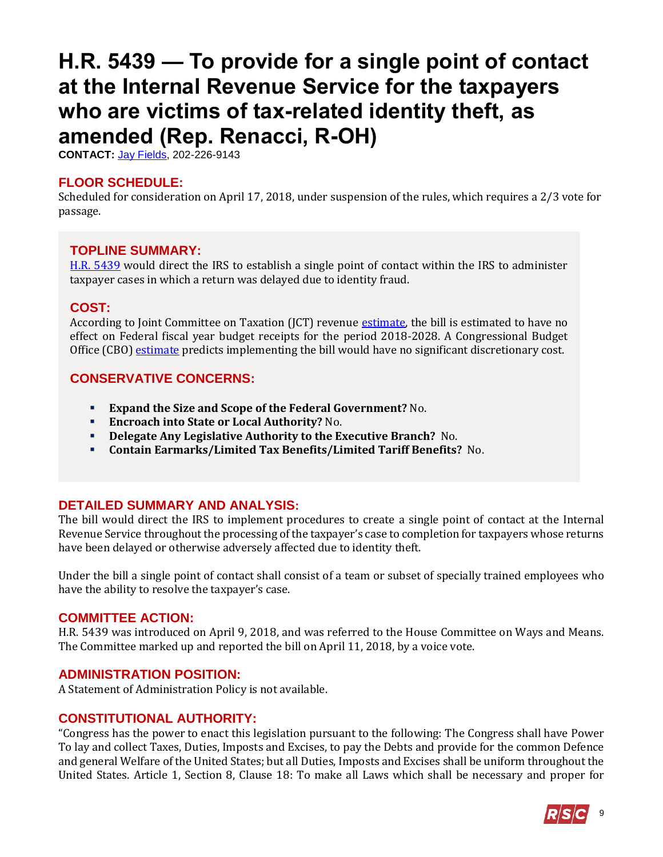# <span id="page-8-0"></span>**H.R. 5439 — To provide for a single point of contact at the Internal Revenue Service for the taxpayers who are victims of tax-related identity theft, as amended (Rep. Renacci, R-OH)**

**CONTACT:** Jay [Fields,](mailto:jay.fields@mail.house.gov) 202-226-9143

#### **FLOOR SCHEDULE:**

Scheduled for consideration on April 17, 2018, under suspension of the rules, which requires a 2/3 vote for passage.

#### **TOPLINE SUMMARY:**

[H.R. 5439](http://docs.house.gov/billsthisweek/20180416/HR5439.pdf) would direct the IRS to establish a single point of contact within the IRS to administer taxpayer cases in which a return was delayed due to identity fraud.

#### **COST:**

According to Joint Committee on Taxation (JCT) revenue [estimate,](https://www.jct.gov/publications.html?func=startdown&id=5084) the bill is estimated to have no effect on Federal fiscal year budget receipts for the period 2018-2028. A Congressional Budget Office (CBO[\) estimate](https://www.cbo.gov/system/files/115th-congress-2017-2018/costestimate/hr4403hr5438hr5439hr5440_3.pdf) predicts implementing the bill would have no significant discretionary cost.

#### **CONSERVATIVE CONCERNS:**

- **Expand the Size and Scope of the Federal Government?** No.
- **Encroach into State or Local Authority?** No.
- **Delegate Any Legislative Authority to the Executive Branch?** No.
- **Contain Earmarks/Limited Tax Benefits/Limited Tariff Benefits?** No.

# **DETAILED SUMMARY AND ANALYSIS:**

The bill would direct the IRS to implement procedures to create a single point of contact at the Internal Revenue Service throughout the processing of the taxpayer's case to completion for taxpayers whose returns have been delayed or otherwise adversely affected due to identity theft.

Under the bill a single point of contact shall consist of a team or subset of specially trained employees who have the ability to resolve the taxpayer's case.

#### **COMMITTEE ACTION:**

H.R. 5439 was introduced on April 9, 2018, and was referred to the House Committee on Ways and Means. The Committee marked up and reported the bill on April 11, 2018, by a voice vote.

#### **ADMINISTRATION POSITION:**

A Statement of Administration Policy is not available.

# **CONSTITUTIONAL AUTHORITY:**

"Congress has the power to enact this legislation pursuant to the following: The Congress shall have Power To lay and collect Taxes, Duties, Imposts and Excises, to pay the Debts and provide for the common Defence and general Welfare of the United States; but all Duties, Imposts and Excises shall be uniform throughout the United States. Article 1, Section 8, Clause 18: To make all Laws which shall be necessary and proper for

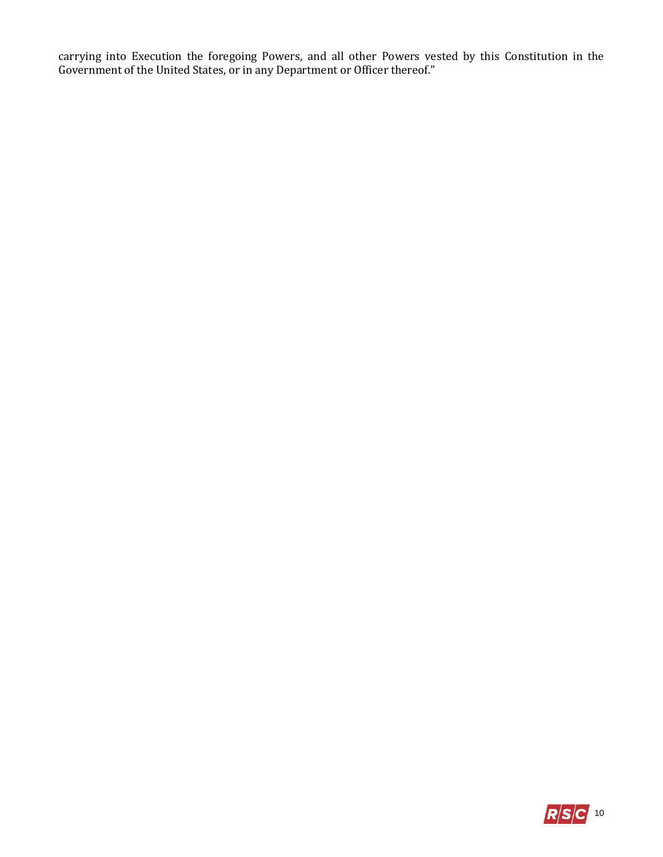carrying into Execution the foregoing Powers, and all other Powers vested by this Constitution in the Government of the United States, or in any Department or Officer thereof."

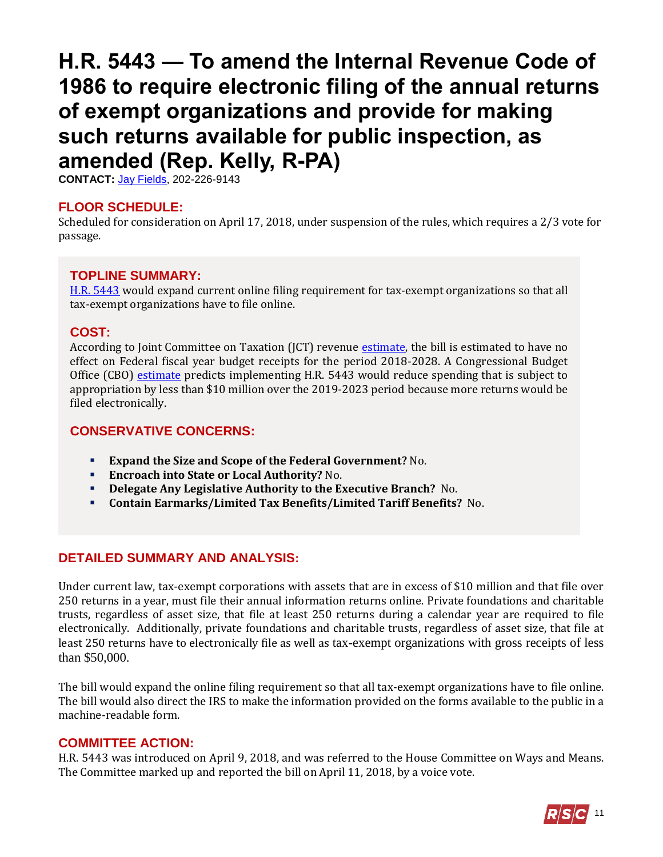# <span id="page-10-0"></span>**H.R. 5443 — To amend the Internal Revenue Code of 1986 to require electronic filing of the annual returns of exempt organizations and provide for making such returns available for public inspection, as amended (Rep. Kelly, R-PA)**

**CONTACT:** Jay [Fields,](mailto:jay.fields@mail.house.gov) 202-226-9143

#### **FLOOR SCHEDULE:**

Scheduled for consideration on April 17, 2018, under suspension of the rules, which requires a 2/3 vote for passage.

# **TOPLINE SUMMARY:**

[H.R. 5443](http://docs.house.gov/billsthisweek/20180416/HR5443.pdf) would expand current online filing requirement for tax-exempt organizations so that all tax-exempt organizations have to file online.

#### **COST:**

According to Joint Committee on Taxation (JCT) revenue [estimate,](https://www.jct.gov/publications.html?func=startdown&id=5086) the bill is estimated to have no effect on Federal fiscal year budget receipts for the period 2018-2028. A Congressional Budget Office (CBO) [estimate](https://www.cbo.gov/system/files/115th-congress-2017-2018/costestimate/hr5437hr5443hr5446_2.pdf) predicts implementing H.R. 5443 would reduce spending that is subject to appropriation by less than \$10 million over the 2019-2023 period because more returns would be filed electronically.

#### **CONSERVATIVE CONCERNS:**

- **Expand the Size and Scope of the Federal Government?** No.
- **Encroach into State or Local Authority?** No.
- **Delegate Any Legislative Authority to the Executive Branch?** No.
- **Contain Earmarks/Limited Tax Benefits/Limited Tariff Benefits?** No.

# **DETAILED SUMMARY AND ANALYSIS:**

Under current law, tax-exempt corporations with assets that are in excess of \$10 million and that file over 250 returns in a year, must file their annual information returns online. Private foundations and charitable trusts, regardless of asset size, that file at least 250 returns during a calendar year are required to file electronically. Additionally, private foundations and charitable trusts, regardless of asset size, that file at least 250 returns have to electronically file as well as tax-exempt organizations with gross receipts of less than \$50,000.

The bill would expand the online filing requirement so that all tax-exempt organizations have to file online. The bill would also direct the IRS to make the information provided on the forms available to the public in a machine-readable form.

#### **COMMITTEE ACTION:**

H.R. 5443 was introduced on April 9, 2018, and was referred to the House Committee on Ways and Means. The Committee marked up and reported the bill on April 11, 2018, by a voice vote.

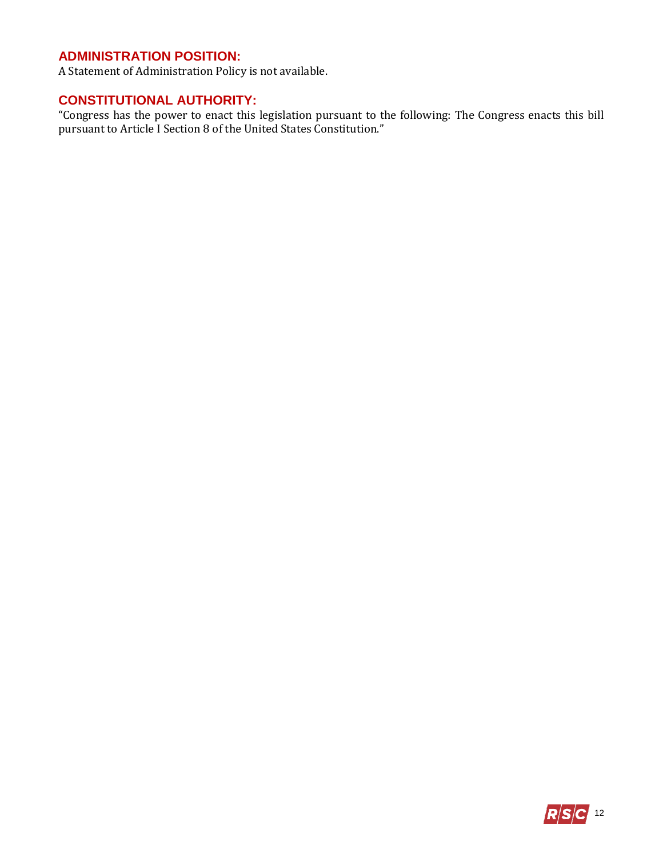# **ADMINISTRATION POSITION:**

A Statement of Administration Policy is not available.

# **CONSTITUTIONAL AUTHORITY:**

"Congress has the power to enact this legislation pursuant to the following: The Congress enacts this bill pursuant to Article I Section 8 of the United States Constitution."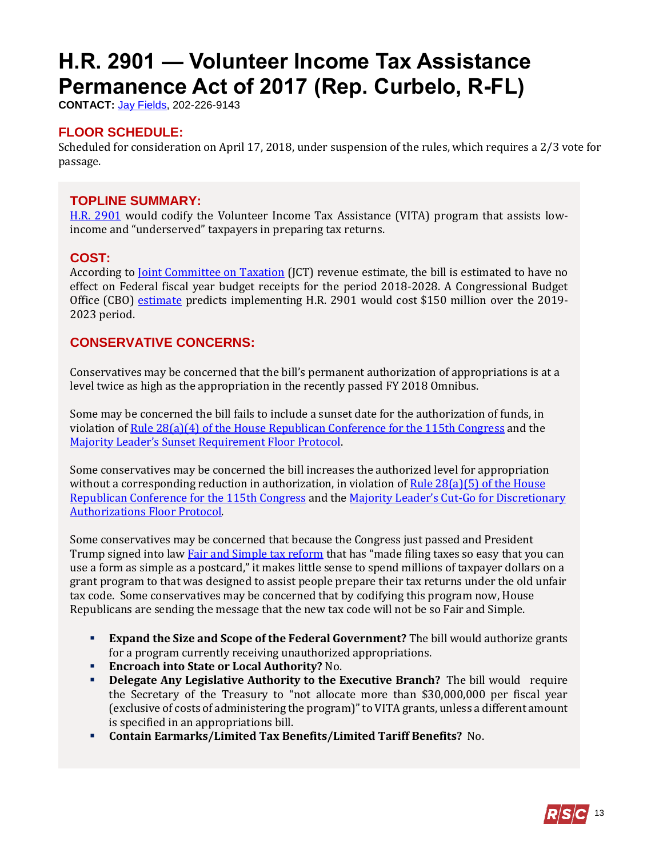# <span id="page-12-0"></span>**H.R. 2901 — Volunteer Income Tax Assistance Permanence Act of 2017 (Rep. Curbelo, R-FL)**

**CONTACT:** Jay [Fields,](mailto:jay.fields@mail.house.gov) 202-226-9143

# **FLOOR SCHEDULE:**

Scheduled for consideration on April 17, 2018, under suspension of the rules, which requires a 2/3 vote for passage.

### **TOPLINE SUMMARY:**

[H.R. 2901](http://docs.house.gov/billsthisweek/20180416/HR2901.pdf) would codify the Volunteer Income Tax Assistance (VITA) program that assists lowincome and "underserved" taxpayers in preparing tax returns.

#### **COST:**

According to <u>Joint Committee on Taxation</u> (JCT) revenue estimate, the bill is estimated to have no effect on Federal fiscal year budget receipts for the period 2018-2028. A Congressional Budget Office (CBO) [estimate](https://www.cbo.gov/system/files/115th-congress-2017-2018/costestimate/hr2901.pdf) predicts implementing H.R. 2901 would cost \$150 million over the 2019- 2023 period.

#### **CONSERVATIVE CONCERNS:**

Conservatives may be concerned that the bill's permanent authorization of appropriations is at a level twice as high as the appropriation in the recently passed FY 2018 Omnibus.

Some may be concerned the bill fails to include a sunset date for the authorization of funds, in violation o[f Rule 28\(a\)\(4\) of the House Republican Conference for the 115th Congress](https://www.gop.gov/115th-rules/) and the [Majority Leader's Sunset Requirement](https://www.majorityleader.gov/protocols/) Floor Protocol.

Some conservatives may be concerned the bill increases the authorized level for appropriation without a corresponding reduction in authorization, in violation of Rule  $28(a)(5)$  of the House [Republican Conference for the 115th Congress](https://www.gop.gov/115th-rules/) and the Majority Leader's Cut[-Go for Discretionary](https://www.majorityleader.gov/protocols/)  [Authorizations Floor Protocol.](https://www.majorityleader.gov/protocols/)

Some conservatives may be concerned that because the Congress just passed and President Trump signed into law **Fair and Simple tax reform that** has "made filing taxes so easy that you can use a form as simple as a postcard," it makes little sense to spend millions of taxpayer dollars on a grant program to that was designed to assist people prepare their tax returns under the old unfair tax code. Some conservatives may be concerned that by codifying this program now, House Republicans are sending the message that the new tax code will not be so Fair and Simple.

- **Expand the Size and Scope of the Federal Government?** The bill would authorize grants for a program currently receiving unauthorized appropriations.
- **Encroach into State or Local Authority?** No.
- **Delegate Any Legislative Authority to the Executive Branch?** The bill would require the Secretary of the Treasury to "not allocate more than \$30,000,000 per fiscal year (exclusive of costs of administering the program)" to VITA grants, unless a different amount is specified in an appropriations bill.
- **Contain Earmarks/Limited Tax Benefits/Limited Tariff Benefits?** No.

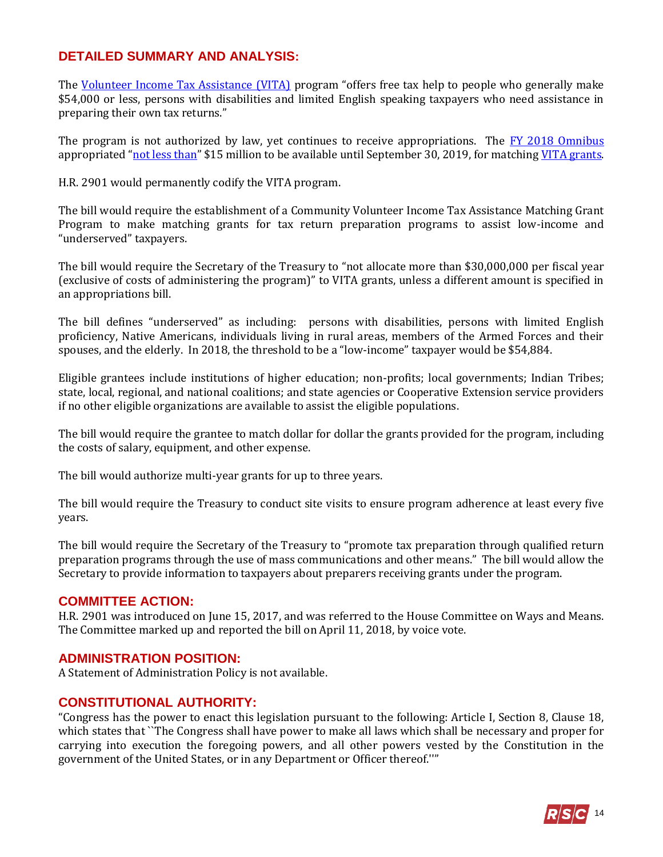### **DETAILED SUMMARY AND ANALYSIS:**

The [Volunteer Income Tax Assistance \(VITA\)](https://www.irs.gov/individuals/free-tax-return-preparation-for-you-by-volunteers) program "offers free tax help to people who generally make \$54,000 or less, persons with disabilities and limited English speaking taxpayers who need assistance in preparing their own tax returns."

The program is not authorized by law, yet continues to receive appropriations. The [FY 2018 Omnibus](https://gallery.mailchimp.com/d4254037a343b683d142111e0/files/908b7457-a446-4f3c-9d54-bfd950708ae8/RSC_Legislative_Bulletin_FY_2018_Omnibus_March_22_2018.pdf) appropriated "[not less than](https://www.congress.gov/115/bills/hr1625/BILLS-115hr1625enr.pdf#page=193)" \$15 million to be available until September 30, 2019, for matching [VITA grants.](https://www.irs.gov/individuals/irs-vita-grant-program)

H.R. 2901 would permanently codify the VITA program.

The bill would require the establishment of a Community Volunteer Income Tax Assistance Matching Grant Program to make matching grants for tax return preparation programs to assist low-income and "underserved" taxpayers.

The bill would require the Secretary of the Treasury to "not allocate more than \$30,000,000 per fiscal year (exclusive of costs of administering the program)" to VITA grants, unless a different amount is specified in an appropriations bill.

The bill defines "underserved" as including: persons with disabilities, persons with limited English proficiency, Native Americans, individuals living in rural areas, members of the Armed Forces and their spouses, and the elderly. In 2018, the threshold to be a "low-income" taxpayer would be \$54,884.

Eligible grantees include institutions of higher education; non-profits; local governments; Indian Tribes; state, local, regional, and national coalitions; and state agencies or Cooperative Extension service providers if no other eligible organizations are available to assist the eligible populations.

The bill would require the grantee to match dollar for dollar the grants provided for the program, including the costs of salary, equipment, and other expense.

The bill would authorize multi-year grants for up to three years.

The bill would require the Treasury to conduct site visits to ensure program adherence at least every five years.

The bill would require the Secretary of the Treasury to "promote tax preparation through qualified return preparation programs through the use of mass communications and other means." The bill would allow the Secretary to provide information to taxpayers about preparers receiving grants under the program.

#### **COMMITTEE ACTION:**

H.R. 2901 was introduced on June 15, 2017, and was referred to the House Committee on Ways and Means. The Committee marked up and reported the bill on April 11, 2018, by voice vote.

#### **ADMINISTRATION POSITION:**

A Statement of Administration Policy is not available.

#### **CONSTITUTIONAL AUTHORITY:**

"Congress has the power to enact this legislation pursuant to the following: Article I, Section 8, Clause 18, which states that ``The Congress shall have power to make all laws which shall be necessary and proper for carrying into execution the foregoing powers, and all other powers vested by the Constitution in the government of the United States, or in any Department or Officer thereof.''"

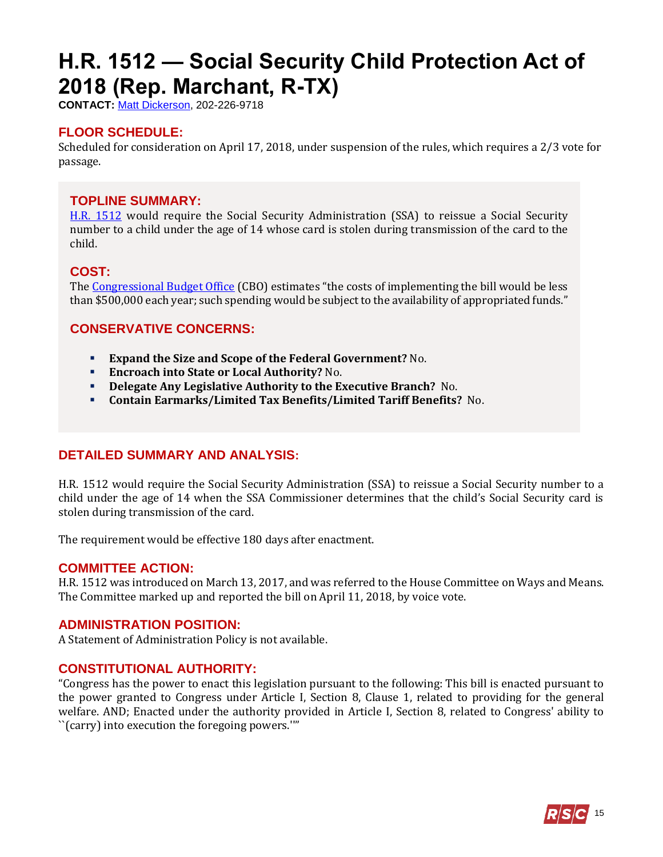# <span id="page-14-0"></span>**H.R. 1512 — Social Security Child Protection Act of 2018 (Rep. Marchant, R-TX)**

**CONTACT:** [Matt Dickerson,](mailto:Matthew.Dickerson@mail.house.gov) 202-226-9718

# **FLOOR SCHEDULE:**

Scheduled for consideration on April 17, 2018, under suspension of the rules, which requires a 2/3 vote for passage.

### **TOPLINE SUMMARY:**

[H.R. 1512](http://docs.house.gov/billsthisweek/20180416/HR1512.pdf) would require the Social Security Administration (SSA) to reissue a Social Security number to a child under the age of 14 whose card is stolen during transmission of the card to the child.

#### **COST:**

The [Congressional Budget Office](https://www.cbo.gov/system/files/115th-congress-2017-2018/costestimate/hr1512.pdf) (CBO) estimates "the costs of implementing the bill would be less than \$500,000 each year; such spending would be subject to the availability of appropriated funds."

# **CONSERVATIVE CONCERNS:**

- **Expand the Size and Scope of the Federal Government?** No.
- **Encroach into State or Local Authority?** No.
- **Delegate Any Legislative Authority to the Executive Branch?** No.
- **Contain Earmarks/Limited Tax Benefits/Limited Tariff Benefits?** No.

# **DETAILED SUMMARY AND ANALYSIS:**

H.R. 1512 would require the Social Security Administration (SSA) to reissue a Social Security number to a child under the age of 14 when the SSA Commissioner determines that the child's Social Security card is stolen during transmission of the card.

The requirement would be effective 180 days after enactment.

#### **COMMITTEE ACTION:**

H.R. 1512 was introduced on March 13, 2017, and was referred to the House Committee on Ways and Means. The Committee marked up and reported the bill on April 11, 2018, by voice vote.

#### **ADMINISTRATION POSITION:**

A Statement of Administration Policy is not available.

### **CONSTITUTIONAL AUTHORITY:**

"Congress has the power to enact this legislation pursuant to the following: This bill is enacted pursuant to the power granted to Congress under Article I, Section 8, Clause 1, related to providing for the general welfare. AND; Enacted under the authority provided in Article I, Section 8, related to Congress' ability to ``(carry) into execution the foregoing powers.''"